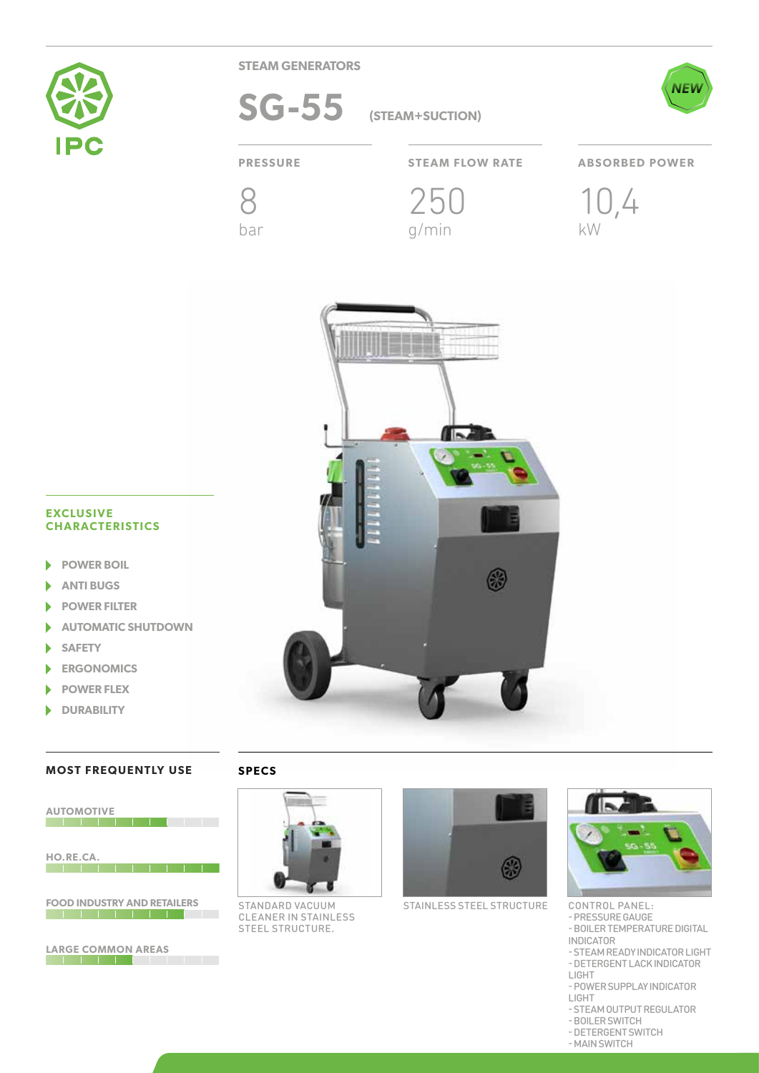

**STEAM GENERATORS**

SG-55 (STEAM+SUCTION)



8

bar

**PRESSURE STEAM FLOW RATE ABSORBED POWER**

250

g/min

10,4 kW



## **EXCLUSIVE CHARACTERISTICS**

- **POWER BOIL** b
- **ANTI BUGS**
- **POWER FILTER** ۱
- **AUTOMATIC SHUTDOWN** ь
- **SAFETY** ١
- **ERGONOMICS**
- **POWER FLEX**
- **DURABILITY** N

# **MOST FREQUENTLY USE**

## **SPECS**



**LARGE COMMON AREAS**



STANDARD VACUUM CLEANER IN STAINLESS STEEL STRUCTURE.



STAINLESS STEEL STRUCTURE



CONTROL PANEL:

- PRESSURE GAUGE - BOILER TEMPERATURE DIGITAL

INDICATOR

- STEAM READY INDICATOR LIGHT - DETERGENT LACK INDICATOR

- LIGHT
- POWER SUPPLAY INDICATOR
- LIGHT
- STEAM OUTPUT REGULATOR
- BOILER SWITCH
	-
- MAIN SWITCH
- DETERGENT SWITCH